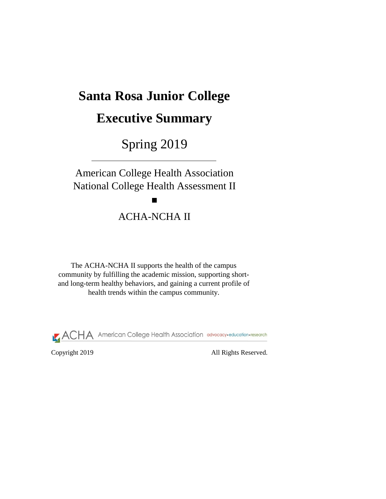Copyright 2019 All Rights Reserved.

# **Santa Rosa Junior College**

# **Executive Summary**

Spring 2019

The ACHA-NCHA II supports the health of the campus community by fulfilling the academic mission, supporting shortand long-term healthy behaviors, and gaining a current profile of health trends within the campus community.



American College Health Association National College Health Assessment II

ACHA-NCHA II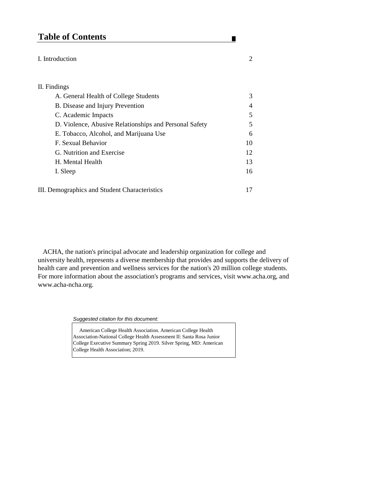# **Table of Contents**

### I. Introduction 2

### II. Findings

| A. General Health of College Students                  | 3              |
|--------------------------------------------------------|----------------|
| <b>B.</b> Disease and Injury Prevention                | $\overline{4}$ |
| C. Academic Impacts                                    | $\overline{5}$ |
| D. Violence, Abusive Relationships and Personal Safety | $\mathfrak{S}$ |
| E. Tobacco, Alcohol, and Marijuana Use                 | 6              |
| F. Sexual Behavior                                     | 10             |
| G. Nutrition and Exercise                              | 12             |
| H. Mental Health                                       | 13             |
| I. Sleep                                               | 16             |
|                                                        |                |

III. Demographics and Student Characteristics 17

*Suggested citation for this document:* 

American College Health Association. American College Health

п

Association-National College Health Assessment II: Santa Rosa Junior College Executive Summary Spring 2019. Silver Spring, MD: American College Health Association; 2019.

 ACHA, the nation's principal advocate and leadership organization for college and university health, represents a diverse membership that provides and supports the delivery of health care and prevention and wellness services for the nation's 20 million college students. For more information about the association's programs and services, visit www.acha.org, and www.acha-ncha.org.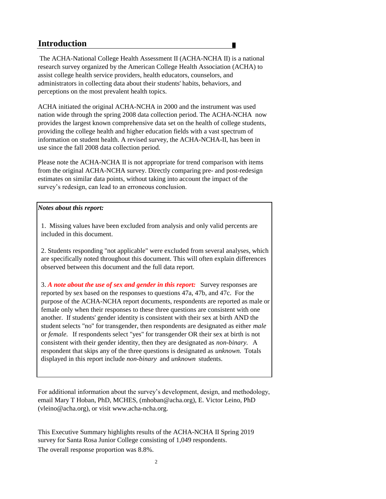# **Introduction**

### *Notes about this report:*

2

3. *A note about the use of sex and gender in this report:* Survey responses are reported by sex based on the responses to questions 47a, 47b, and 47c. For the purpose of the ACHA-NCHA report documents, respondents are reported as male or female only when their responses to these three questions are consistent with one another. If students' gender identity is consistent with their sex at birth AND the student selects "no" for transgender, then respondents are designated as either *male*  or *female.* If respondents select "yes" for transgender OR their sex at birth is not consistent with their gender identity, then they are designated as *non-binary.* A respondent that skips any of the three questions is designated as *unknown.* Totals displayed in this report include *non-binary* and *unknown* students.

The overall response proportion was 8.8%. survey for Santa Rosa Junior College consisting of 1,049 respondents. This Executive Summary highlights results of the ACHA-NCHA II Spring 2019

2. Students responding "not applicable" were excluded from several analyses, which are specifically noted throughout this document. This will often explain differences observed between this document and the full data report.

 The ACHA-National College Health Assessment II (ACHA-NCHA II) is a national research survey organized by the American College Health Association (ACHA) to assist college health service providers, health educators, counselors, and administrators in collecting data about their students' habits, behaviors, and perceptions on the most prevalent health topics.

ACHA initiated the original ACHA-NCHA in 2000 and the instrument was used nation wide through the spring 2008 data collection period. The ACHA-NCHA now provides the largest known comprehensive data set on the health of college students, providing the college health and higher education fields with a vast spectrum of information on student health. A revised survey, the ACHA-NCHA-II, has been in use since the fall 2008 data collection period.

Please note the ACHA-NCHA II is not appropriate for trend comparison with items from the original ACHA-NCHA survey. Directly comparing pre- and post-redesign estimates on similar data points, without taking into account the impact of the survey's redesign, can lead to an erroneous conclusion.

For additional information about the survey's development, design, and methodology, email Mary T Hoban, PhD, MCHES, (mhoban@acha.org), E. Victor Leino, PhD (vleino@acha.org), or visit www.acha-ncha.org.

1. Missing values have been excluded from analysis and only valid percents are included in this document.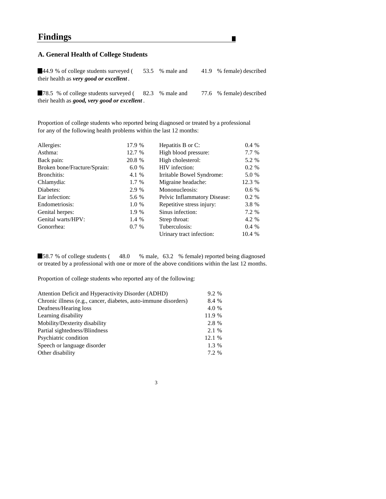# **Findings**

### **A. General Health of College Students**

44.9 % of college students surveyed (53.5 % male and 41.9 % female) described their health as *very good or excellent .*

78.5 % of college students surveyed (82.3 % male and 77.6 % female) described their health as *good, very good or excellent .*

Proportion of college students who reported being diagnosed or treated by a professional for any of the following health problems within the last 12 months:

58.7 % of college students (48.0 % male, 63.2 % female) reported being diagnosed or treated by a professional with one or more of the above conditions within the last 12 months.

| Allergies:                   | 17.9 %  | Hepatitis B or C:                   | 0.4%   |
|------------------------------|---------|-------------------------------------|--------|
| Asthma:                      | 12.7 %  | High blood pressure:                | 7.7 %  |
| Back pain:                   | 20.8 %  | High cholesterol:                   | 5.2 %  |
| Broken bone/Fracture/Sprain: | 6.0%    | HIV infection:                      | 0.2 %  |
| <b>Bronchitis:</b>           | 4.1 %   | Irritable Bowel Syndrome:           | 5.0 %  |
| Chlamydia:                   | 1.7 %   | Migraine headache:                  | 12.3 % |
| Diabetes:                    | 2.9 %   | Mononucleosis:                      | 0.6 %  |
| Ear infection:               | 5.6 %   | <b>Pelvic Inflammatory Disease:</b> | 0.2 %  |
| Endometriosis:               | 1.0 %   | Repetitive stress injury:           | 3.8 %  |
| Genital herpes:              | 1.9 %   | Sinus infection:                    | 7.2 %  |
| Genital warts/HPV:           | 1.4 %   | Strep throat:                       | 4.2 %  |
| Gonorrhea:                   | $0.7\%$ | Tuberculosis:                       | 0.4%   |
|                              |         | Urinary tract infection:            | 10.4 % |
|                              |         |                                     |        |

Proportion of college students who reported any of the following:

| Attention Deficit and Hyperactivity Disorder (ADHD)             | 9.2 %  |
|-----------------------------------------------------------------|--------|
| Chronic illness (e.g., cancer, diabetes, auto-immune disorders) | 8.4 %  |
| Deafness/Hearing loss                                           | 4.0 %  |
| Learning disability                                             | 11.9 % |
| Mobility/Dexterity disability                                   | 2.8 %  |
| Partial sightedness/Blindness                                   | 2.1 %  |
| Psychiatric condition                                           | 12.1 % |
| Speech or language disorder                                     | 1.3 %  |
| Other disability                                                | 7.2 %  |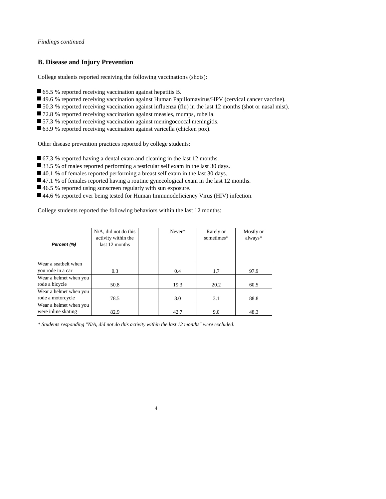### **B. Disease and Injury Prevention**

College students reported receiving the following vaccinations (shots):

- 65.5 % reported receiving vaccination against hepatitis B.
- 49.6 % reported receiving vaccination against Human Papillomavirus/HPV (cervical cancer vaccine).
- 50.3 % reported receiving vaccination against influenza (flu) in the last 12 months (shot or nasal mist).
- 72.8 % reported receiving vaccination against measles, mumps, rubella.
- 57.3 % reported receiving vaccination against meningococcal meningitis.
- 63.9 % reported receiving vaccination against varicella (chicken pox).

Other disease prevention practices reported by college students:

- 67.3 % reported having a dental exam and cleaning in the last 12 months.
- 33.5 % of males reported performing a testicular self exam in the last 30 days.
- 40.1 % of females reported performing a breast self exam in the last 30 days.
- 47.1 % of females reported having a routine gynecological exam in the last 12 months.
- 46.5 % reported using sunscreen regularly with sun exposure.
- 44.6 % reported ever being tested for Human Immunodeficiency Virus (HIV) infection.

College students reported the following behaviors within the last 12 months:

4

| Percent (%)            | $N/A$ , did not do this<br>activity within the<br>last 12 months | Never* | Rarely or<br>sometimes* | Mostly or<br>always* |
|------------------------|------------------------------------------------------------------|--------|-------------------------|----------------------|
| Wear a seatbelt when   |                                                                  |        |                         |                      |
| you rode in a car      | 0.3                                                              | 0.4    | 1.7                     | 97.9                 |
| Wear a helmet when you |                                                                  |        |                         |                      |
| rode a bicycle         | 50.8                                                             | 19.3   | 20.2                    | 60.5                 |
| Wear a helmet when you |                                                                  |        |                         |                      |
| rode a motorcycle      | 78.5                                                             | 8.0    | 3.1                     | 88.8                 |
| Wear a helmet when you |                                                                  |        |                         |                      |
| were inline skating    | 82.9                                                             | 42.7   | 9.0                     | 48.3                 |

*\* Students responding "N/A, did not do this activity within the last 12 months" were excluded.*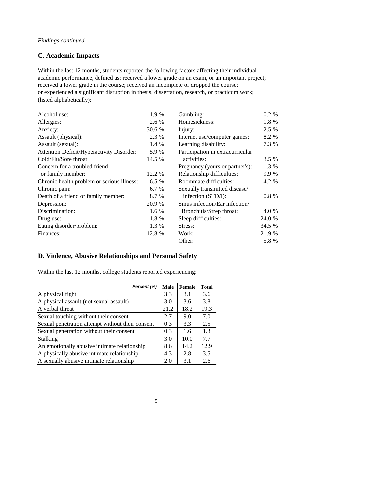### **C. Academic Impacts**

| Alcohol use:                                     | 1.9 %   | Gambling:                        | $0.2 \%$ |
|--------------------------------------------------|---------|----------------------------------|----------|
| Allergies:                                       | 2.6 %   | Homesickness:                    | 1.8 %    |
| Anxiety:                                         | 30.6 %  | Injury:                          | 2.5 %    |
| Assault (physical):                              | 2.3 %   | Internet use/computer games:     | 8.2 %    |
| Assault (sexual):                                | 1.4 %   | Learning disability:             | 7.3 %    |
| <b>Attention Deficit/Hyperactivity Disorder:</b> | 5.9 %   | Participation in extracurricular |          |
| Cold/Flu/Sore throat:                            | 14.5 %  | activities:                      | 3.5%     |
| Concern for a troubled friend                    |         | Pregnancy (yours or partner's):  | 1.3 %    |
| or family member:                                | 12.2 %  | Relationship difficulties:       | 9.9 %    |
| Chronic health problem or serious illness:       | $6.5\%$ | <b>Roommate difficulties:</b>    | 4.2 %    |
| Chronic pain:                                    | 6.7 %   | Sexually transmitted disease/    |          |
| Death of a friend or family member:              | 8.7 %   | infection (STD/I):               | $0.8 \%$ |
| Depression:                                      | 20.9 %  | Sinus infection/Ear infection/   |          |
| Discrimination:                                  | 1.6 $%$ | Bronchitis/Strep throat:         | 4.0 %    |
| Drug use:                                        | 1.8 %   | Sleep difficulties:              | 24.0 %   |
| Eating disorder/problem:                         | 1.3 %   | Stress:                          | 34.5 %   |
| Finances:                                        | 12.8 %  | Work:                            | 21.9 %   |
|                                                  |         | Other:                           | 5.8 %    |

academic performance, defined as: received a lower grade on an exam, or an important project; received a lower grade in the course; received an incomplete or dropped the course; or experienced a significant disruption in thesis, dissertation, research, or practicum work; (listed alphabetically): Within the last 12 months, students reported the following factors affecting their individual

### **D. Violence, Abusive Relationships and Personal Safety**

Within the last 12 months, college students reported experiencing:

| Percent (%)                                      | <b>Male</b> | <b>Female</b> | <b>Total</b> |
|--------------------------------------------------|-------------|---------------|--------------|
| A physical fight                                 | 3.3         | 3.1           | 3.6          |
| A physical assault (not sexual assault)          | 3.0         | 3.6           | 3.8          |
| A verbal threat                                  | 21.2        | 18.2          | 19.3         |
| Sexual touching without their consent            | 2.7         | 9.0           | 7.0          |
| Sexual penetration attempt without their consent | 0.3         | 3.3           | 2.5          |
| Sexual penetration without their consent         | 0.3         | 1.6           | 1.3          |
| <b>Stalking</b>                                  | 3.0         | 10.0          | 7.7          |
| An emotionally abusive intimate relationship     | 8.6         | 14.2          | 12.9         |
| A physically abusive intimate relationship       | 4.3         | 2.8           | 3.5          |
| A sexually abusive intimate relationship         | 2.0         | 3.1           | 2.6          |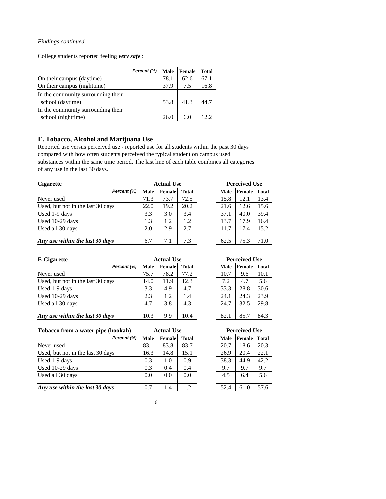College students reported feeling *very safe* :

|                                    | Percent (%) |      | Male   Female | <b>Total</b> |
|------------------------------------|-------------|------|---------------|--------------|
| On their campus (daytime)          |             | 78.1 | 62.6          | 67.1         |
| On their campus (nighttime)        |             | 37.9 | 7.5           | 16.8         |
| In the community surrounding their |             |      |               |              |
| school (daytime)                   |             | 53.8 | 41.3          |              |
| In the community surrounding their |             |      |               |              |
| school (nighttime)                 |             | 26.0 | 6(            | 122          |

### **E. Tobacco, Alcohol and Marijuana Use**

Reported use versus perceived use - reported use for all students within the past 30 days compared with how often students perceived the typical student on campus used substances within the same time period. The last line of each table combines all categories of any use in the last 30 days.

| <b>Cigarette</b>                  |             | <b>Actual Use</b> |              | <b>Perceived Use</b> |        |              |  |
|-----------------------------------|-------------|-------------------|--------------|----------------------|--------|--------------|--|
| Percent (%)                       | <b>Male</b> | <b>Female</b>     | <b>Total</b> | <b>Male</b>          | Female | <b>Total</b> |  |
| Never used                        | 71.3        | 73.7              | 72.5         | 15.8                 | 12.1   | 13.4         |  |
| Used, but not in the last 30 days | 22.0        | 19.2              | 20.2         | 21.6                 | 12.6   | 15.6         |  |
| Used 1-9 days                     | 3.3         | 3.0               | 3.4          | 37.1                 | 40.0   | 39.4         |  |
| Used 10-29 days                   | 1.3         | 1.2               | 1.2          | 13.7                 | 17.9   | 16.4         |  |
| Used all 30 days                  | 2.0         | 2.9               | 2.7          | 11.7                 | 17.4   | 15.2         |  |
|                                   |             |                   |              |                      |        |              |  |
| Any use within the last 30 days   | 6.7         | 7.1               | 7.3          | 62.5                 | 75.3   | 71.0         |  |

**Tobacco from a water pipe (hookah)**

| <b>E-Cigarette</b>                |             | <b>Actual Use</b> |              | <b>Perceived Use</b> |                     |      |
|-----------------------------------|-------------|-------------------|--------------|----------------------|---------------------|------|
| Percent (%)                       | <b>Male</b> | <b>Female</b>     | <b>Total</b> | <b>Male</b>          | <b>Female</b> Total |      |
| Never used                        | 75.7        | 78.2              | 77.2         | 10.7                 | 9.6                 | 10.1 |
| Used, but not in the last 30 days | 14.0        | 11.9              | 12.3         | 7.2                  | 4.7                 | 5.6  |
| Used 1-9 days                     | 3.3         | 4.9               | 4.7          | 33.3                 | 28.8                | 30.6 |
| Used 10-29 days                   | 2.3         | 1.2               | 1.4          | 24.1                 | 24.3                | 23.9 |
| Used all 30 days                  | 4.7         | 3.8               | 4.3          | 24.7                 | 32.5                | 29.8 |
| Any use within the last 30 days   | 10.3        | 9.9               | 10.4         | 82.1                 | 85.7                | 84.3 |

| <b>Perceived Use</b> |        |              |  |  |  |  |  |
|----------------------|--------|--------------|--|--|--|--|--|
| <b>Male</b>          | Female | <b>Total</b> |  |  |  |  |  |
| 10.7                 | 9.6    | 10.1         |  |  |  |  |  |
| 7.2                  | 4.7    | 5.6          |  |  |  |  |  |
| 33.3                 | 28.8   | 30.6         |  |  |  |  |  |
| 24.1                 | 24.3   | 23.9         |  |  |  |  |  |
| 24.7                 | 32.5   | 29.8         |  |  |  |  |  |
|                      |        |              |  |  |  |  |  |
| 82.1                 | 85.7   | 84.3         |  |  |  |  |  |

| Percent (%)                       | <b>Male</b> | <b>Female</b> | <b>Total</b> | <b>Male</b> | Female | <b>Total</b> |
|-----------------------------------|-------------|---------------|--------------|-------------|--------|--------------|
| Never used                        | 83.1        | 83.8          | 83.7         | 20.7        | 18.6   | 20.3         |
| Used, but not in the last 30 days | 16.3        | 14.8          | 15.1         | 26.9        | 20.4   | 22.1         |
| Used 1-9 days                     | 0.3         | 1.0           | 0.9          | 38.3        | 44.9   | 42.2         |
| Used 10-29 days                   | 0.3         | 0.4           | 0.4          | 9.7         | 9.7    | 9.7          |
| Used all 30 days                  | 0.0         | 0.0           | 0.0          | 4.5         | 6.4    | 5.6          |
|                                   |             |               |              |             |        |              |
| Any use within the last 30 days   | 0.7         | 1.4           | 1.2          | 52.4        | 61.0   | 57.6         |

| <b>Male</b> | Female | <b>Total</b> |
|-------------|--------|--------------|
| 20.7        | 18.6   | 20.3         |
| 26.9        | 20.4   | 22.1         |
| 38.3        | 44.9   | 42.2         |
| 9.7         | 9.7    | 9.7          |
| 4.5         | 6.4    | 5.6          |
|             |        |              |
| 52.4        | 61.0   | 57.6         |

6

**Perceived Use**

| <b>Actual Use</b> |        |              | <b>Perceived Use</b> |             |        |      |  |
|-------------------|--------|--------------|----------------------|-------------|--------|------|--|
|                   | Female | <b>Total</b> |                      | <b>Male</b> | Female |      |  |
|                   | 73.7   | 72.5         |                      | 15.8        | 12.1   | 13.4 |  |
|                   | 19.2   | 20.2         |                      | 21.6        | 12.6   | 15.6 |  |
|                   | 3.0    | 3.4          |                      | 37.1        | 40.0   | 39.4 |  |
|                   | 1.2    | 1.2          |                      | 13.7        | 17.9   | 16.4 |  |
|                   | 2.9    | 2.7          |                      | 11.7        | 17.4   | 15.2 |  |
|                   |        |              |                      |             |        |      |  |
|                   | 7.1    | 7.3          |                      | 62.5        | 75.3   | 71.0 |  |

**Actual Use**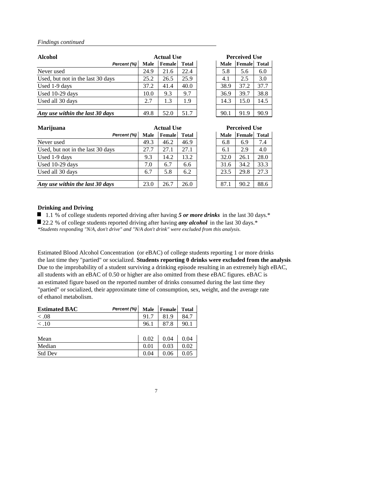| <b>Alcohol</b>                    |             | <b>Actual Use</b> |              |  |             | <b>Perceived Use</b> |              |  |
|-----------------------------------|-------------|-------------------|--------------|--|-------------|----------------------|--------------|--|
| Percent (%)                       | <b>Male</b> | <b>Female</b>     | <b>Total</b> |  | <b>Male</b> | Female               | <b>Total</b> |  |
| Never used                        | 24.9        | 21.6              | 22.4         |  | 5.8         | 5.6                  | 6.0          |  |
| Used, but not in the last 30 days | 25.2        | 26.5              | 25.9         |  | 4.1         | 2.5                  | 3.0          |  |
| Used 1-9 days                     | 37.2        | 41.4              | 40.0         |  | 38.9        | 37.2                 | 37.7         |  |
| Used 10-29 days                   | 10.0        | 9.3               | 9.7          |  | 36.9        | 39.7                 | 38.8         |  |
| Used all 30 days                  | 2.7         | 1.3               | 1.9          |  | 14.3        | 15.0                 | 14.5         |  |
|                                   |             |                   |              |  |             |                      |              |  |
| Any use within the last 30 days   | 49.8        | 52.0              | 51.7         |  | 90.1        | 91.9                 | 90.9         |  |

| <b>Marijuana</b>                  |             | <b>Actual Use</b> |              |  |             | <b>Perceived Use</b> |       |  |
|-----------------------------------|-------------|-------------------|--------------|--|-------------|----------------------|-------|--|
| Percent (%)                       | <b>Male</b> | <b>Female</b>     | <b>Total</b> |  | <b>Male</b> | Female               | Total |  |
| Never used                        | 49.3        | 46.2              | 46.9         |  | 6.8         | 6.9                  | 7.4   |  |
| Used, but not in the last 30 days | 27.7        | 27.1              | 27.1         |  | 6.1         | 2.9                  | 4.0   |  |
| Used 1-9 days                     | 9.3         | 14.2              | 13.2         |  | 32.0        | 26.1                 | 28.0  |  |
| Used 10-29 days                   | 7.0         | 6.7               | 6.6          |  | 31.6        | 34.2                 | 33.3  |  |
| Used all 30 days                  | 6.7         | 5.8               | 6.2          |  | 23.5        | 29.8                 | 27.3  |  |
|                                   |             |                   |              |  |             |                      |       |  |
| Any use within the last 30 days   | 23.0        | 26.7              | 26.0         |  | 87.1        | 90.2                 | 88.6  |  |

### **Drinking and Driving**

■ 1.1 % of college students reported driving after having 5 or more drinks in the last 30 days.<sup>\*</sup> ■ 22.2 % of college students reported driving after having *any alcohol* in the last 30 days.<sup>\*</sup>

Estimated Blood Alcohol Concentration (or eBAC) of college students reporting 1 or more drinks the last time they "partied" or socialized. **Students reporting 0 drinks were excluded from the analysis**. Due to the improbability of a student surviving a drinking episode resulting in an extremely high eBAC, all students with an eBAC of 0.50 or higher are also omitted from these eBAC figures. eBAC is an estimated figure based on the reported number of drinks consumed during the last time they "partied" or socialized, their approximate time of consumption, sex, weight, and the average rate of ethanol metabolism.

| <b>Estimated BAC</b> | Percent (%) Male Female |      |      | <b>Total</b> |
|----------------------|-------------------------|------|------|--------------|
| < .08                |                         | 91.7 | 81.9 | 84.7         |
|                      |                         | 96.1 | 87.8 | 90.1         |

| Mean           | 0.02 | 0.04 |  |
|----------------|------|------|--|
| Median         | 0.01 | 0.03 |  |
| <b>Std Dev</b> | 0.04 | 0.06 |  |

7

| <b>Actual Use</b> |        |              | <b>Perceived Use</b> |             |        |      |  |
|-------------------|--------|--------------|----------------------|-------------|--------|------|--|
|                   | Female | <b>Total</b> |                      | <b>Male</b> | Female |      |  |
|                   | 21.6   | 22.4         |                      | 5.8         | 5.6    | 6.0  |  |
|                   | 26.5   | 25.9         |                      | 4.1         | 2.5    | 3.0  |  |
|                   | 41.4   | 40.0         |                      | 38.9        | 37.2   | 37.7 |  |
|                   | 9.3    | 9.7          |                      | 36.9        | 39.7   | 38.8 |  |
|                   | 1.3    | 1.9          |                      | 14.3        | 15.0   | 14.5 |  |
|                   |        |              |                      |             |        |      |  |
|                   | 52.0   | 51.7         |                      | 90.1        | 91.9   | 90.9 |  |

*\*Students responding "N/A, don't drive" and "N/A don't drink" were excluded from this analysis.*

| <b>Actual Use</b> |               |              | <b>Perceived Use</b> |             |        |      |  |
|-------------------|---------------|--------------|----------------------|-------------|--------|------|--|
|                   | <b>Female</b> | <b>Total</b> |                      | <b>Male</b> | Female |      |  |
|                   | 46.2          | 46.9         |                      | 6.8         | 6.9    | 7.4  |  |
|                   | 27.1          | 27.1         |                      | 6.1         | 2.9    | 4.0  |  |
|                   | 14.2          | 13.2         |                      | 32.0        | 26.1   | 28.0 |  |
|                   | 6.7           | 6.6          |                      | 31.6        | 34.2   | 33.3 |  |
|                   | 5.8           | 6.2          |                      | 23.5        | 29.8   | 27.3 |  |
|                   |               |              |                      |             |        |      |  |
|                   | 26.7          | 26.0         |                      | 87.1        | 90.2   | 88.6 |  |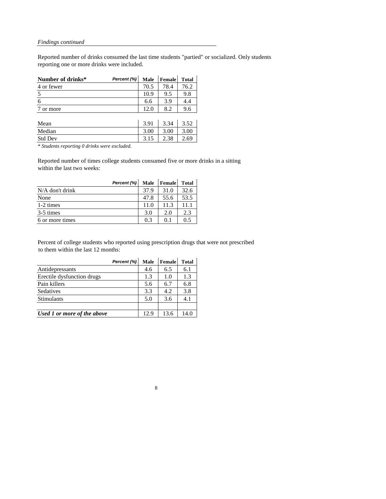Reported number of drinks consumed the last time students "partied" or socialized. Only students reporting one or more drinks were included.

| 4 or fewer | 70.5 | 78.4           | 76.2 |
|------------|------|----------------|------|
|            |      |                |      |
|            | 10.9 | 9.5            | 9.8  |
|            | 6.6  | 39             |      |
| or more    | 12 Q | 8 <sub>2</sub> |      |

| Mean           | $\sim$<br>$\Omega^*$<br><u>J.J.L</u> | 3.34 | ∟.ں  |
|----------------|--------------------------------------|------|------|
| Median         | 3.00                                 | 3.00 | 3.00 |
| <b>Std Dev</b> | 3.13                                 | 2.50 | 2.69 |

*\* Students reporting 0 drinks were excluded.*

Reported number of times college students consumed five or more drinks in a sitting within the last two weeks:

|                   | Percent (%) | <b>Male</b> | <b>Female</b> | <b>Total</b> |
|-------------------|-------------|-------------|---------------|--------------|
| $N/A$ don't drink |             | 37.9        | 31.0          | 32.6         |
| None              |             | 47.8        | 55.6          | 53.5         |
| 1-2 times         |             | 11.0        | 11.3          | 11 1         |
| 3-5 times         |             | 3.0         | 2.0           | 2.3          |
| 6 or more times   |             | 0.3         | $()$ 1        | 05           |

Percent of college students who reported using prescription drugs that were not prescribed to them within the last 12 months:

|                             | Percent (%) | <b>Male</b> | <b>Female</b> | <b>Total</b> |
|-----------------------------|-------------|-------------|---------------|--------------|
| Antidepressants             |             | 4.6         | 6.5           | 6.1          |
| Erectile dysfunction drugs  |             | 1.3         | 1.0           | 1.3          |
| Pain killers                |             | 5.6         | 6.7           | 6.8          |
| Sedatives                   |             | 3.3         | 4.2           | 3.8          |
| <b>Stimulants</b>           |             | 5.0         | 3.6           | 4.1          |
|                             |             |             |               |              |
| Used 1 or more of the above |             | 12.9        | 13.6          | 14.0         |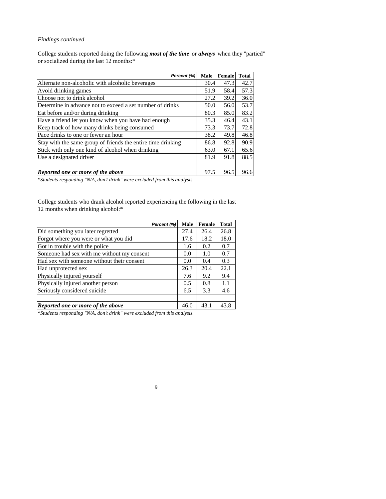College students reported doing the following *most of the time* or *always* when they "partied" or socialized during the last 12 months:\*

| Percent (%)                                                  | <b>Male</b> | Female | <b>Total</b> |
|--------------------------------------------------------------|-------------|--------|--------------|
| Alternate non-alcoholic with alcoholic beverages             | 30.4        | 47.3   | 42.7         |
| Avoid drinking games                                         | 51.9        | 58.4   | 57.3         |
| Choose not to drink alcohol                                  | 27.2        | 39.2   | 36.0         |
| Determine in advance not to exceed a set number of drinks    | 50.0        | 56.0   | 53.7         |
| Eat before and/or during drinking                            | 80.3        | 85.0   | 83.2         |
| Have a friend let you know when you have had enough          | 35.3        | 46.4   | 43.1         |
| Keep track of how many drinks being consumed                 | 73.3        | 73.7   | 72.8         |
| Pace drinks to one or fewer an hour                          | 38.2        | 49.8   | 46.8         |
| Stay with the same group of friends the entire time drinking | 86.8        | 92.8   | 90.9         |
| Stick with only one kind of alcohol when drinking            | 63.0        | 67.1   | 65.6         |
| Use a designated driver                                      | 81.9        | 91.8   | 88.5         |
|                                                              |             |        |              |
| Reported one or more of the above                            | 97.5        | 96.5   | 96.6         |

College students who drank alcohol reported experiencing the following in the last 12 months when drinking alcohol:\*

|                                            | Percent (%) | <b>Male</b> | <b>Female</b> | <b>Total</b> |
|--------------------------------------------|-------------|-------------|---------------|--------------|
| Did something you later regretted          |             | 27.4        | 26.4          | 26.8         |
| Forgot where you were or what you did      |             | 17.6        | 18.2          | 18.0         |
| Got in trouble with the police             |             | 1.6         | 0.2           | 0.7          |
| Someone had sex with me without my consent |             | 0.0         | 1.0           | 0.7          |
| Had sex with someone without their consent |             | 0.0         | 0.4           | 0.3          |
| Had unprotected sex                        |             | 26.3        | 20.4          | 22.1         |
| Physically injured yourself                |             | 7.6         | 9.2           | 9.4          |
| Physically injured another person          |             | 0.5         | 0.8           | 1.1          |
| Seriously considered suicide               |             | 6.5         | 3.3           | 4.6          |
|                                            |             |             |               |              |
| Reported one or more of the above          |             | 46.0        | 43.1          | 43.8         |

9

*\*Students responding "N/A, don't drink" were excluded from this analysis.*

*\*Students responding "N/A, don't drink" were excluded from this analysis.*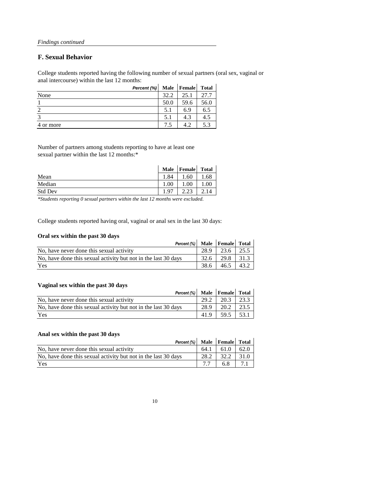### **F. Sexual Behavior**

College students reported having the following number of sexual partners (oral sex, vaginal or anal intercourse) within the last 12 months:

|           | Percent $(\%)$ |      | Male   Female | <b>Total</b> |
|-----------|----------------|------|---------------|--------------|
| None      |                | 32.2 | 25.1          | 27.7         |
|           |                | 50.0 | 59.6          | 56.0         |
| ာ         |                | 5.1  | 6.9           | 6.5          |
| 3         |                | 5.1  | 4.3           | 4.5          |
| 4 or more |                | 7.5  | 42            | 5.3          |

Number of partners among students reporting to have at least one sexual partner within the last 12 months:\*

|                | <b>Male</b> | <b>Female</b> | <b>Total</b> |
|----------------|-------------|---------------|--------------|
| Mean           | 84          | 1.60          | 1.68         |
| Median         | 1.00        | 1.00          | $1.00\,$     |
| <b>Std Dev</b> |             | $\bigcap$     |              |

College students reported having oral, vaginal or anal sex in the last 30 days:

### **Oral sex within the past 30 days**

| Percent (%)   Male   Female   Total                            |        |             |      |
|----------------------------------------------------------------|--------|-------------|------|
| No, have never done this sexual activity                       | 28.9   | $23.6$ 25.5 |      |
| No, have done this sexual activity but not in the last 30 days | $32.6$ | 29.8 31.3   |      |
| Yes                                                            | 38.6   | 46.5        | 43.2 |

### **Vaginal sex within the past 30 days**

| <b>TWELING DUIL WEDDED DESCRIPTION</b>                         |      |      |      |
|----------------------------------------------------------------|------|------|------|
| Percent (%) Male Female Total                                  |      |      |      |
| No, have never done this sexual activity                       | 29.2 | 20.3 | 23.3 |
| No, have done this sexual activity but not in the last 30 days | 28.9 | 20.2 | 23.5 |
| Yes                                                            | 41.9 | 59.5 | 53.1 |

### **Anal sex within the past 30 days**

| Percent (%) Male Female Total                                  |      |      |      |
|----------------------------------------------------------------|------|------|------|
| No, have never done this sexual activity                       | 64.1 | 61.0 | 62.0 |
| No, have done this sexual activity but not in the last 30 days | 28.2 | 32.2 | 31.0 |
| Yes                                                            |      | 6.8  | 71   |

10

*\*Students reporting 0 sexual partners within the last 12 months were excluded.*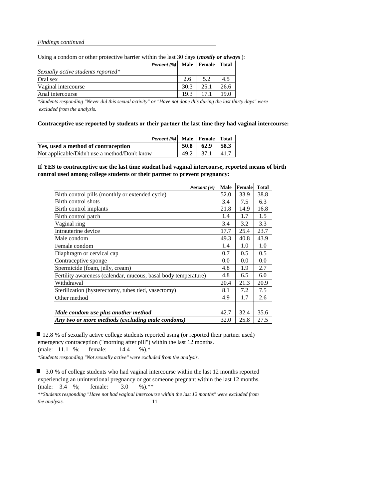Using a condom or other protective barrier within the last 30 days (*mostly or always*):

|                                    | <b>Percent (%)</b> Male Female Total |      |               |      |
|------------------------------------|--------------------------------------|------|---------------|------|
| Sexually active students reported* |                                      |      |               |      |
| Oral sex                           |                                      | 2.6  | 52            | 4.5  |
| Vaginal intercourse                |                                      | 30.3 | 25.1          | 26.6 |
| Anal intercourse                   |                                      |      | $19.3$   17.1 | 19.0 |

*\*Students responding "Never did this sexual activity" or "Have not done this during the last thirty days" were excluded from the analysis.*

**Contraceptive use reported by students or their partner the last time they had vaginal intercourse:**

| Percent $(\%)$ Male Female Total              |                      |  |
|-----------------------------------------------|----------------------|--|
| Yes, used a method of contraception           | $50.8$   62.9   58.3 |  |
| Not applicable/Didn't use a method/Don't know | $49.2$   37.1   41.7 |  |

**If YES to contraceptive use the last time student had vaginal intercourse, reported means of birth control used among college students or their partner to prevent pregnancy:**

12.8 % of sexually active college students reported using (or reported their partner used) emergency contraception ("morning after pill") within the last 12 months. (male: 11.1 %; female: 14.4 %).\* *\*Students responding "Not sexually active" were excluded from the analysis.*

■ 3.0 % of college students who had vaginal intercourse within the last 12 months reported experiencing an unintentional pregnancy or got someone pregnant within the last 12 months. (male: 3.4 %; female: 3.0 %).\*\*

*\*\*Students responding "Have not had vaginal intercourse within the last 12 months" were excluded from the analysis.* 11

| Percent (%)                                                    | <b>Male</b> | Female | <b>Total</b> |
|----------------------------------------------------------------|-------------|--------|--------------|
| Birth control pills (monthly or extended cycle)                | 52.0        | 33.9   | 38.8         |
| Birth control shots                                            | 3.4         | 7.5    | 6.3          |
| Birth control implants                                         | 21.8        | 14.9   | 16.8         |
| Birth control patch                                            | 1.4         | 1.7    | 1.5          |
| Vaginal ring                                                   | 3.4         | 3.2    | 3.3          |
| Intrauterine device                                            | 17.7        | 25.4   | 23.7         |
| Male condom                                                    | 49.3        | 40.8   | 43.9         |
| Female condom                                                  | 1.4         | 1.0    | 1.0          |
| Diaphragm or cervical cap                                      | 0.7         | 0.5    | 0.5          |
| Contraceptive sponge                                           | 0.0         | 0.0    | 0.0          |
| Spermicide (foam, jelly, cream)                                | 4.8         | 1.9    | 2.7          |
| Fertility awareness (calendar, mucous, basal body temperature) | 4.8         | 6.5    | 6.0          |
| Withdrawal                                                     | 20.4        | 21.3   | 20.9         |
| Sterilization (hysterectomy, tubes tied, vasectomy)            | 8.1         | 7.2    | 7.5          |
| Other method                                                   | 4.9         | 1.7    | 2.6          |
|                                                                |             |        |              |
| Male condom use plus another method                            | 42.7        | 32.4   | 35.6         |
| Any two or more methods (excluding male condoms)               | 32.0        | 25.8   | 27.5         |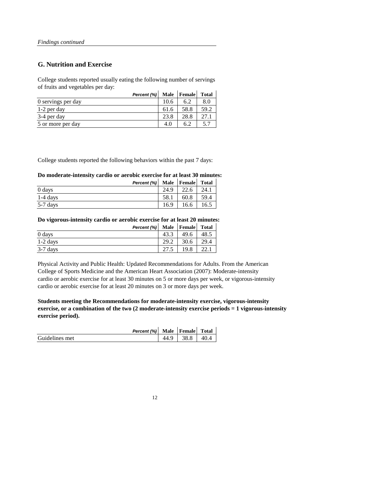### **G. Nutrition and Exercise**

College students reported usually eating the following number of servings of fruits and vegetables per day:

|                    | Percent (%) | <b>Male</b> | Female | <b>Total</b> |
|--------------------|-------------|-------------|--------|--------------|
| 0 servings per day |             | 10.6        | 6.2    | 8.0          |
| 1-2 per day        |             | 61.6        | 58.8   | 59.2         |
| 3-4 per day        |             | 23.8        | 28.8   | 27.1         |
| 5 or more per day  |             | 4.0         | 6.2    | 57           |

College students reported the following behaviors within the past 7 days:

### **Do moderate-intensity cardio or aerobic exercise for at least 30 minutes:**

|            | Percent (%) Male   Female |      |      | <b>Total</b> |
|------------|---------------------------|------|------|--------------|
| 0 days     |                           | 24.9 | 22.6 | 24.1         |
| $1-4$ days |                           | 58.1 | 60.8 | 59.4         |
| $5-7$ days |                           | 16.9 | 16.6 | 16.5         |

**Do vigorous-intensity cardio or aerobic exercise for at least 20 minutes:**

|            | Percent (%) Male   Female |      |      | <b>Total</b> |
|------------|---------------------------|------|------|--------------|
| 0 days     |                           | 43.3 | 49.6 | 48.5         |
| $1-2$ days |                           | 29.2 | 30.6 | 29.4         |
| $3-7$ days |                           | 27.5 | 19.8 | 22.1         |

Physical Activity and Public Health: Updated Recommendations for Adults. From the American College of Sports Medicine and the American Heart Association (2007): Moderate-intensity cardio or aerobic exercise for at least 30 minutes on 5 or more days per week, or vigorous-intensity cardio or aerobic exercise for at least 20 minutes on 3 or more days per week.

**Students meeting the Recommendations for moderate-intensity exercise, vigorous-intensity exercise, or a combination of the two (2 moderate-intensity exercise periods = 1 vigorous-intensity exercise period).**

*Percent (%)* **Male Female Total**

| Guidelines met |  | 38.8 | 40 |
|----------------|--|------|----|
|----------------|--|------|----|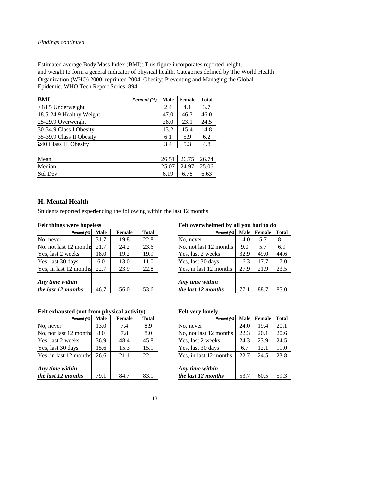Estimated average Body Mass Index (BMI): This figure incorporates reported height, and weight to form a general indicator of physical health. Categories defined by The World Health Organization (WHO) 2000, reprinted 2004. Obesity: Preventing and Managing the Global Epidemic. WHO Tech Report Series: 894.

| Percent (%) | <b>Male</b> | Female | <b>Total</b> |
|-------------|-------------|--------|--------------|
|             | 2.4         | 4.1    | 3.7          |
|             | 47.0        | 46.3   | 46.0         |
|             | 28.0        | 23.1   | 24.5         |
|             | 13.2        | 15.4   | 14.8         |
|             | 6.1         | 5.9    | 6.2          |
|             | 3.4         | 5.3    | 4.8          |
|             |             |        |              |

| Mean           | 26.51 | $26.75$   26.74 |       |
|----------------|-------|-----------------|-------|
| Median         | 25.07 | 24.97           | 25.06 |
| <b>Std Dev</b> | 6.19  | 6.78            | 6.63  |

### **H. Mental Health**

Students reported experiencing the following within the last 12 months:

### **Felt things were hopeless Felt overwhelmed by all you had to do**

| Percent (%)       | <b>Male</b> | <b>Female</b> | <b>Total</b> | Percent (%)            | <b>Male</b> | Female | <b>Total</b> |
|-------------------|-------------|---------------|--------------|------------------------|-------------|--------|--------------|
|                   | 31.7        | 19.8          | 22.8         | No, never              | 14.0        | 5.7    | 8.1          |
| 2 months          | 21.7        | 24.2          | 23.6         | No, not last 12 months | 9.0         | 5.7    | 6.9          |
| eks               | 18.0        | 19.2          | 19.9         | Yes, last 2 weeks      | 32.9        | 49.0   | 44.6         |
| ays               | 6.0         | 13.0          | 11.0         | Yes, last 30 days      | 16.3        | 17.7   | 17.0         |
| months            | 22.7        | 23.9          | 22.8         | Yes, in last 12 months | 27.9        | 21.9   | 23.5         |
|                   |             |               |              |                        |             |        |              |
| $\ddot{\bm{i}}$ n |             |               |              | Any time within        |             |        |              |
| $\mathbf{m}$ ths  | 46.7        | 56.0          | 53.6         | the last 12 months     | 77.1        | 88.7   | 85.0         |

| Percent (%)            | <b>Male</b> | <b>Female</b> | <b>Total</b> | Percent (%)            | <b>Male</b> | Female | Total |
|------------------------|-------------|---------------|--------------|------------------------|-------------|--------|-------|
| No, never              | 31.7        | 19.8          | 22.8         | No, never              | 14.0        | 5.7    | 8.1   |
| No, not last 12 months | 21.7        | 24.2          | 23.6         | No, not last 12 months | 9.0         | 5.7    | 6.9   |
| Yes, last 2 weeks      | 18.0        | 19.2          | 19.9         | Yes, last 2 weeks      | 32.9        | 49.0   | 44.6  |
| Yes, last 30 days      | 6.0         | 13.0          | 11.0         | Yes, last 30 days      | 16.3        | 17.7   | 17.0  |
| Yes, in last 12 months | 22.7        | 23.9          | 22.8         | Yes, in last 12 months | 27.9        | 21.9   | 23.5  |
|                        |             |               |              |                        |             |        |       |
| Any time within        |             |               |              | Any time within        |             |        |       |
| the last 12 months     | 46.7        | 56.0          | 53.6         | the last 12 months     | 77.1        | 88.7   | 85.0  |

### Felt exhausted (not from physical activity) Felt very lonely

|                         |             |               | $\sim$       |                        |             |        |              |
|-------------------------|-------------|---------------|--------------|------------------------|-------------|--------|--------------|
| Percent (%)             | <b>Male</b> | <b>Female</b> | <b>Total</b> | Percent (%)            | <b>Male</b> | Female | <b>Total</b> |
|                         | 13.0        | 7.4           | 8.9          | No, never              | 24.0        | 19.4   | 20.1         |
| 2 months                | 8.0         | 7.8           | 8.0          | No, not last 12 months | 22.3        | 20.1   | 20.6         |
| eks                     | 36.9        | 48.4          | 45.8         | Yes, last 2 weeks      | 24.3        | 23.9   | 24.5         |
| ays                     | 15.6        | 15.3          | 15.1         | Yes, last 30 days      | 6.7         | 12.1   | 11.0         |
| months                  | 26.6        | 21.1          | 22.1         | Yes, in last 12 months | 22.7        | 24.5   | 23.8         |
|                         |             |               |              |                        |             |        |              |
| $\overline{\mathbf{u}}$ |             |               |              | Any time within        |             |        |              |
| $\boldsymbol{n}$ ths    | 79.1        | 84.7          | 83.1         | the last 12 months     | 53.7        | 60.5   | 59.3         |

| Percent (%)            | <b>Male</b> | <b>Female</b> | <b>Total</b> | Percent (%)            | <b>Male</b> | Female | Total |
|------------------------|-------------|---------------|--------------|------------------------|-------------|--------|-------|
| No, never              | 13.0        | 7.4           | 8.9          | No, never              | 24.0        | 19.4   | 20.1  |
| No, not last 12 months | 8.0         | 7.8           | 8.0          | No, not last 12 months | 22.3        | 20.1   | 20.6  |
| Yes, last 2 weeks      | 36.9        | 48.4          | 45.8         | Yes, last 2 weeks      | 24.3        | 23.9   | 24.5  |
| Yes, last 30 days      | 15.6        | 15.3          | 15.1         | Yes, last 30 days      | 6.7         | 12.1   | 11.0  |
| Yes, in last 12 months | 26.6        | 21.1          | 22.1         | Yes, in last 12 months | 22.7        | 24.5   | 23.8  |
|                        |             |               |              |                        |             |        |       |
| Any time within        |             |               |              | Any time within        |             |        |       |
| the last 12 months     | 79.1        | 84.7          | 83.1         | the last 12 months     | 53.7        | 60.5   | 59.3  |

| ۰.<br>۰.<br>× |  |
|---------------|--|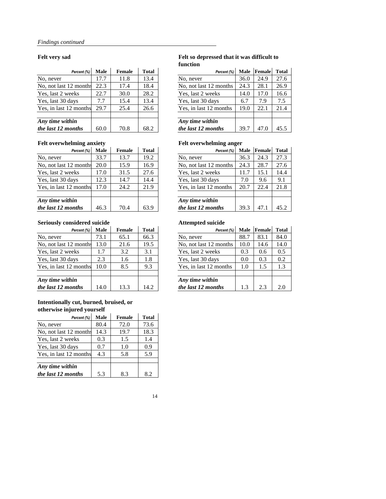### **Felt very sad Felt so depressed that it was difficult to function**

| Percent (%)          | <b>Male</b> | <b>Female</b> | <b>Total</b> | Percent (%)            | <b>Male</b> | <b>Female</b> | <b>Total</b> |
|----------------------|-------------|---------------|--------------|------------------------|-------------|---------------|--------------|
|                      | 17.7        | 11.8          | 13.4         | No, never              | 36.0        | 24.9          | 27.6         |
| 2 months             | 22.3        | 17.4          | 18.4         | No, not last 12 months | 24.3        | 28.1          | 26.9         |
| eks                  | 22.7        | 30.0          | 28.2         | Yes, last 2 weeks      | 14.0        | 17.0          | 16.6         |
| ays                  | 7.7         | 15.4          | 13.4         | Yes, last 30 days      | 6.7         | 7.9           | 7.5          |
| months               | 29.7        | 25.4          | 26.6         | Yes, in last 12 months | 19.0        | 22.1          | 21.4         |
|                      |             |               |              |                        |             |               |              |
| $\dot{I}n$           |             |               |              | Any time within        |             |               |              |
| $\boldsymbol{n}$ ths | 60.0        | 70.8          | 68.2         | the last 12 months     | 39.7        | 47.0          | 45.5         |

| Percent (%)            | <b>Male</b> | Female | <b>Total</b> | Percent (%)            | <b>Male</b> | Female | <b>Tota</b> |
|------------------------|-------------|--------|--------------|------------------------|-------------|--------|-------------|
| No, never              | 17.7        | 11.8   | 13.4         | No, never              | 36.0        | 24.9   | 27.6        |
| No, not last 12 months | 22.3        | 17.4   | 18.4         | No, not last 12 months | 24.3        | 28.1   | 26.9        |
| Yes, last 2 weeks      | 22.7        | 30.0   | 28.2         | Yes, last 2 weeks      | 14.0        | 17.0   | 16.6        |
| Yes, last 30 days      | 7.7         | 15.4   | 13.4         | Yes, last 30 days      | 6.7         | 7.9    | 7.5         |
| Yes, in last 12 months | 29.7        | 25.4   | 26.6         | Yes, in last 12 months | 19.0        | 22.1   | 21.4        |
|                        |             |        |              |                        |             |        |             |
| Any time within        |             |        |              | Any time within        |             |        |             |
| the last 12 months     | 60.0        | 70.8   | 68.2         | the last 12 months     | 39.7        | 47.0   | 45.5        |

### Felt overwhelming anxiety **Felt overwhelming anger**

| Percent (%)      | <b>Male</b> | <b>Female</b> | <b>Total</b> | Percent (%)            | <b>Male</b> | <b>Female</b> | <b>Total</b> |
|------------------|-------------|---------------|--------------|------------------------|-------------|---------------|--------------|
|                  | 33.7        | 13.7          | 19.2         | No, never              | 36.3        | 24.3          | 27.3         |
| 2 months         | 20.0        | 15.9          | 16.9         | No, not last 12 months | 24.3        | 28.7          | 27.6         |
| eks              | l7.0        | 31.5          | 27.6         | Yes, last 2 weeks      | 11.7        | 15.1          | 14.4         |
| ays              | 12.3        | 14.7          | 14.4         | Yes, last 30 days      | 7.0         | 9.6           | 9.1          |
| months           | 17.0        | 24.2          | 21.9         | Yes, in last 12 months | 20.7        | 22.4          | 21.8         |
|                  |             |               |              |                        |             |               |              |
| $\dot{I}n$       |             |               |              | Any time within        |             |               |              |
| $\mathbf{n}$ ths | 46.3        | 70.4          | 63.9         | the last 12 months     | 39.3        | 47.           | 45.2         |

| Percent (%)            | <b>Male</b> | Female | <b>Total</b> | Percent (%)            | <b>Male</b> | Female | Total |
|------------------------|-------------|--------|--------------|------------------------|-------------|--------|-------|
| No, never              | 33.7        | 13.7   | 19.2         | No, never              | 36.3        | 24.3   | 27.3  |
| No, not last 12 months | 20.0        | 15.9   | 16.9         | No, not last 12 months | 24.3        | 28.7   | 27.6  |
| Yes, last 2 weeks      | 17.0        | 31.5   | 27.6         | Yes, last 2 weeks      | 11.7        | 15.1   | 14.4  |
| Yes, last 30 days      | 12.3        | 14.7   | 14.4         | Yes, last 30 days      | 7.0         | 9.6    | 9.1   |
| Yes, in last 12 months | 17.0        | 24.2   | 21.9         | Yes, in last 12 months | 20.7        | 22.4   | 21.8  |
| Any time within        |             |        |              | Any time within        |             |        |       |
| the last 12 months     | 46.3        | 70.4   | 63.9         | the last 12 months     | 39.3        | 47.1   | 45.2  |

### **Seriously considered suicide Attempted suicide**

| Percent (%)      | <b>Male</b> | <b>Female</b> | <b>Total</b> | Percent (%)            | <b>Male</b> | Female | <b>Total</b> |
|------------------|-------------|---------------|--------------|------------------------|-------------|--------|--------------|
|                  | 73.1        | 65.1          | 66.3         | No, never              | 88.7        | 83.1   | 84.0         |
| 2 months         | 13.0        | 21.6          | 19.5         | No, not last 12 months | 10.0        | 14.6   | 14.0         |
| eks              | 1.7         | 3.2           | 3.1          | Yes, last 2 weeks      | 0.3         | 0.6    | 0.5          |
| ays              | 2.3         | 1.6           | 1.8          | Yes, last 30 days      | 0.0         | 0.3    | 0.2          |
| months           | 10.0        | 8.5           | 9.3          | Yes, in last 12 months | 1.0         | 1.5    | 1.3          |
|                  |             |               |              |                        |             |        |              |
| $\dot{I}n$       |             |               |              | Any time within        |             |        |              |
| $\mathbf{n}$ ths | 14.0        | 13.3          | 14.2         | the last 12 months     | 1.3         | 2.3    | 2.0          |

| Percent (%)            | <b>Male</b> | <b>Female</b> | <b>Total</b> | Percent (%)            | <b>Male</b> | Female | Total |
|------------------------|-------------|---------------|--------------|------------------------|-------------|--------|-------|
| No, never              | 73.1        | 65.1          | 66.3         | No, never              | 88.7        | 83.1   | 84.0  |
| No, not last 12 months | 13.0        | 21.6          | 19.5         | No, not last 12 months | 10.0        | 14.6   | 14.0  |
| Yes, last 2 weeks      | 1.7         | 3.2           | 3.1          | Yes, last 2 weeks      | 0.3         | 0.6    | 0.5   |
| Yes, last 30 days      | 2.3         | 1.6           | 1.8          | Yes, last 30 days      | 0.0         | 0.3    | 0.2   |
| Yes, in last 12 months | 10.0        | 8.5           | 9.3          | Yes, in last 12 months | 1.0         | 1.5    | 1.3   |
| Any time within        |             |               |              | Any time within        |             |        |       |
| the last 12 months     | 14.0        | 13.3          | 14.2         | the last 12 months     | 1.3         | 2.3    | 2.0   |

### **Intentionally cut, burned, bruised, or otherwise injured yourself**

| Percent (%)            | <b>Male</b> | <b>Female</b> | <b>Total</b> |
|------------------------|-------------|---------------|--------------|
| No, never              | 80.4        | 72.0          | 73.6         |
| No, not last 12 months | 14.3        | 19.7          | 18.3         |
| Yes, last 2 weeks      | 0.3         | 1.5           | 1.4          |
| Yes, last 30 days      | 0.7         | 1.0           | 0.9          |
| Yes, in last 12 months | 4.3         | 5.8           | 5.9          |
| Any time within        |             |               |              |
| the last 12 months     | 5.3         | 8.3           | 8.2          |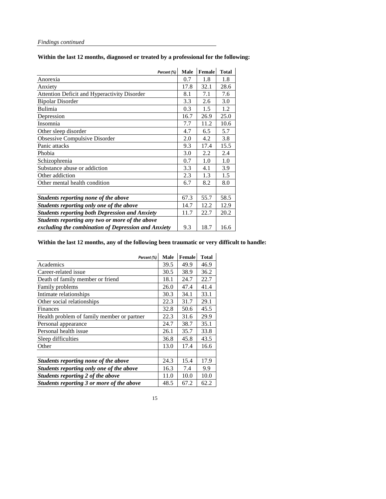**Within the last 12 months, diagnosed or treated by a professional for the following:** 

| Percent (%)                                           | <b>Male</b> | <b>Female</b> | <b>Total</b> |
|-------------------------------------------------------|-------------|---------------|--------------|
| Anorexia                                              | 0.7         | 1.8           | 1.8          |
| Anxiety                                               | 17.8        | 32.1          | 28.6         |
| <b>Attention Deficit and Hyperactivity Disorder</b>   | 8.1         | 7.1           | 7.6          |
| <b>Bipolar Disorder</b>                               | 3.3         | 2.6           | 3.0          |
| <b>Bulimia</b>                                        | 0.3         | 1.5           | 1.2          |
| Depression                                            | 16.7        | 26.9          | 25.0         |
| Insomnia                                              | 7.7         | 11.2          | 10.6         |
| Other sleep disorder                                  | 4.7         | 6.5           | 5.7          |
| <b>Obsessive Compulsive Disorder</b>                  | 2.0         | 4.2           | 3.8          |
| Panic attacks                                         | 9.3         | 17.4          | 15.5         |
| Phobia                                                | 3.0         | 2.2           | 2.4          |
| Schizophrenia                                         | 0.7         | 1.0           | 1.0          |
| Substance abuse or addiction                          | 3.3         | 4.1           | 3.9          |
| Other addiction                                       | 2.3         | 1.3           | 1.5          |
| Other mental health condition                         | 6.7         | 8.2           | 8.0          |
|                                                       |             |               |              |
| Students reporting none of the above                  | 67.3        | 55.7          | 58.5         |
| Students reporting only one of the above              | 14.7        | 12.2          | 12.9         |
| <b>Students reporting both Depression and Anxiety</b> | 11.7        | 22.7          | 20.2         |
| Students reporting any two or more of the above       |             |               |              |
| excluding the combination of Depression and Anxiety   | 9.3         | 18.7          | 16.6         |

### **Within the last 12 months, any of the following been traumatic or very difficult to handle:**

| Percent (%)                                | <b>Male</b> | <b>Female</b> | <b>Total</b> |
|--------------------------------------------|-------------|---------------|--------------|
| Academics                                  | 39.5        | 49.9          | 46.9         |
| Career-related issue                       | 30.5        | 38.9          | 36.2         |
| Death of family member or friend           | 18.1        | 24.7          | 22.7         |
| Family problems                            | 26.0        | 47.4          | 41.4         |
| Intimate relationships                     | 30.3        | 34.1          | 33.1         |
| Other social relationships                 | 22.3        | 31.7          | 29.1         |
| Finances                                   | 32.8        | 50.6          | 45.5         |
| Health problem of family member or partner | 22.3        | 31.6          | 29.9         |
| Personal appearance                        | 24.7        | 38.7          | 35.1         |
| Personal health issue                      | 26.1        | 35.7          | 33.8         |
| Sleep difficulties                         | 36.8        | 45.8          | 43.5         |
| Other                                      | 13.0        | 17.4          | 16.6         |
|                                            |             |               |              |
| Students reporting none of the above       | 24.3        | 15.4          | 17.9         |
| Students reporting only one of the above   | 16.3        | 7.4           | 9.9          |
| Students reporting 2 of the above          | 11.0        | 10.0          | 10.0         |
| Students reporting 3 or more of the above  | 48.5        | 67.2          | 62.2         |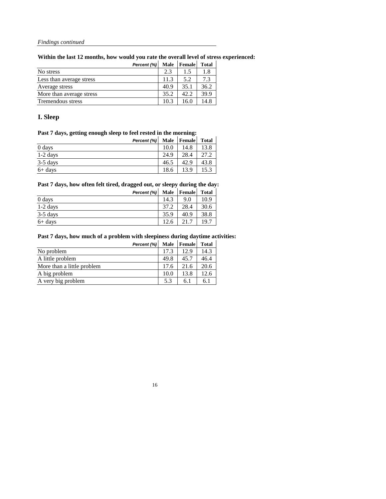**Within the last 12 months, how would you rate the overall level of stress experienced:**

|                          | Percent (%) | <b>Male</b> | Female | <b>Total</b> |
|--------------------------|-------------|-------------|--------|--------------|
| No stress                |             | 2.3         | 1.5    | 1.8          |
| Less than average stress |             | 11.3        | 5.2    | 7.3          |
| Average stress           |             | 40.9        | 35.1   | 36.2         |
| More than average stress |             | 35.2        | 42.2   | 39.9         |
| <b>Tremendous stress</b> |             | 10.3        | 16.0   | 14.8         |

## **I. Sleep**

### **Past 7 days, getting enough sleep to feel rested in the morning:**

|            | Percent (%) |      | Male   Female | <b>Total</b> |
|------------|-------------|------|---------------|--------------|
| 0 days     |             | 10.0 | 14.8          | 13.8         |
| $1-2$ days |             | 24.9 | 28.4          | 27.2         |
| $3-5$ days |             | 46.5 | 42.9          | 43.8         |
| $6+$ days  |             | 18.6 | 13.9          | 15.3         |

### **Past 7 days, how often felt tired, dragged out, or sleepy during the day:**

|            | Percent (%) | <b>Male</b> | <b>Female</b> | <b>Total</b> |
|------------|-------------|-------------|---------------|--------------|
| 0 days     |             | 14.3        | 9.0           | 10.9         |
| $1-2$ days |             | 37.2        | 28.4          | 30.6         |
| $3-5$ days |             | 35.9        | 40.9          | 38.8         |
| $6+$ days  |             | 12.6        | 217           | 19.7         |

### **Past 7 days, how much of a problem with sleepiness during daytime activities:**

|                            | Percent (%) | <b>Male</b> | <b>Female</b> | <b>Total</b> |
|----------------------------|-------------|-------------|---------------|--------------|
| No problem                 |             | 17.3        | 12.9          | 14.3         |
| A little problem           |             | 49.8        | 45.7          | 46.4         |
| More than a little problem |             | 17.6        | 21.6          | 20.6         |
| A big problem              |             | 10.0        | 13.8          | 12.6         |
| A very big problem         |             | 5.3         | 6.1           | 6.1          |